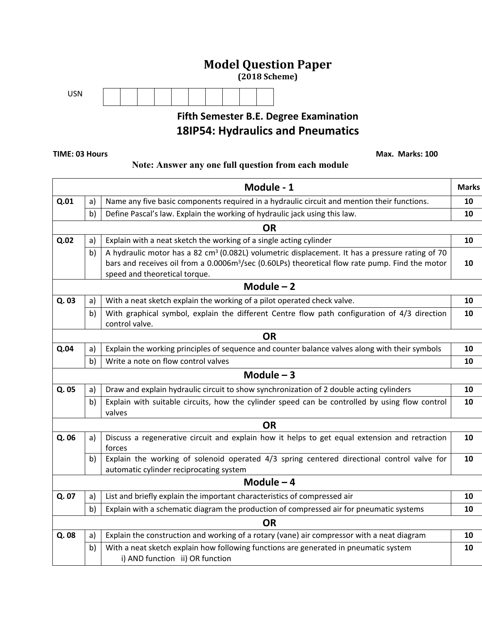# **Model Question Paper**

**(2018 Scheme)**



# **Fifth Semester B.E. Degree Examination 18IP54: Hydraulics and Pneumatics**

 **TIME: 03 Hours Max. Marks: 100** 

#### **Note: Answer any one full question from each module**

|             |           | Module - 1                                                                                                                                                                                                                                                  | <b>Marks</b> |  |  |  |
|-------------|-----------|-------------------------------------------------------------------------------------------------------------------------------------------------------------------------------------------------------------------------------------------------------------|--------------|--|--|--|
| Q.01        | a)        | Name any five basic components required in a hydraulic circuit and mention their functions.                                                                                                                                                                 | 10           |  |  |  |
|             | b)        | Define Pascal's law. Explain the working of hydraulic jack using this law.                                                                                                                                                                                  | 10           |  |  |  |
|             | <b>OR</b> |                                                                                                                                                                                                                                                             |              |  |  |  |
| Q.02        | a)        | Explain with a neat sketch the working of a single acting cylinder                                                                                                                                                                                          | 10           |  |  |  |
|             | b)        | A hydraulic motor has a 82 cm <sup>3</sup> (0.082L) volumetric displacement. It has a pressure rating of 70<br>bars and receives oil from a 0.0006m <sup>3</sup> /sec (0.60LPs) theoretical flow rate pump. Find the motor<br>speed and theoretical torque. | 10           |  |  |  |
|             |           | Module $-2$                                                                                                                                                                                                                                                 |              |  |  |  |
| Q. 03       | a)        | With a neat sketch explain the working of a pilot operated check valve.                                                                                                                                                                                     | 10           |  |  |  |
|             | b)        | With graphical symbol, explain the different Centre flow path configuration of 4/3 direction<br>control valve.                                                                                                                                              | 10           |  |  |  |
|             |           | <b>OR</b>                                                                                                                                                                                                                                                   |              |  |  |  |
| Q.04        | a)        | Explain the working principles of sequence and counter balance valves along with their symbols                                                                                                                                                              | 10           |  |  |  |
|             | b)        | Write a note on flow control valves                                                                                                                                                                                                                         | 10           |  |  |  |
|             |           | Module $-3$                                                                                                                                                                                                                                                 |              |  |  |  |
| Q. 05       | a)        | Draw and explain hydraulic circuit to show synchronization of 2 double acting cylinders                                                                                                                                                                     | 10           |  |  |  |
|             | b)        | Explain with suitable circuits, how the cylinder speed can be controlled by using flow control<br>valves                                                                                                                                                    | 10           |  |  |  |
|             |           | <b>OR</b>                                                                                                                                                                                                                                                   |              |  |  |  |
| Q. 06       | a)        | Discuss a regenerative circuit and explain how it helps to get equal extension and retraction<br>forces                                                                                                                                                     | 10           |  |  |  |
|             | b)        | Explain the working of solenoid operated 4/3 spring centered directional control valve for<br>automatic cylinder reciprocating system                                                                                                                       | 10           |  |  |  |
| Module $-4$ |           |                                                                                                                                                                                                                                                             |              |  |  |  |
| Q. 07       | a)        | List and briefly explain the important characteristics of compressed air                                                                                                                                                                                    | 10           |  |  |  |
|             | b)        | Explain with a schematic diagram the production of compressed air for pneumatic systems                                                                                                                                                                     | 10           |  |  |  |
|             | <b>OR</b> |                                                                                                                                                                                                                                                             |              |  |  |  |
| Q.08        | a)        | Explain the construction and working of a rotary (vane) air compressor with a neat diagram                                                                                                                                                                  | 10           |  |  |  |
|             | b)        | With a neat sketch explain how following functions are generated in pneumatic system<br>i) AND function ii) OR function                                                                                                                                     | 10           |  |  |  |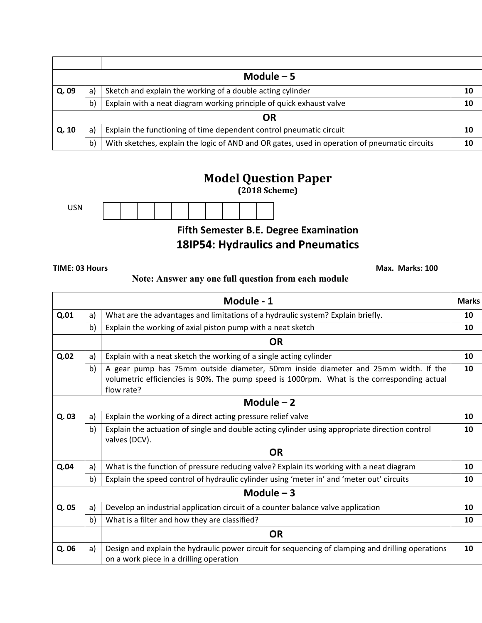| Module $-5$ |    |                                                                                               |    |  |
|-------------|----|-----------------------------------------------------------------------------------------------|----|--|
| Q.09        | a) | Sketch and explain the working of a double acting cylinder                                    | 10 |  |
|             | b) | Explain with a neat diagram working principle of quick exhaust valve                          | 10 |  |
| ΟR          |    |                                                                                               |    |  |
| Q.10        | a) | Explain the functioning of time dependent control pneumatic circuit                           | 10 |  |
|             | b) | With sketches, explain the logic of AND and OR gates, used in operation of pneumatic circuits |    |  |

### **Model Question Paper**

**(2018 Scheme)**

USN



### **Fifth Semester B.E. Degree Examination 18IP54: Hydraulics and Pneumatics**

 **TIME: 03 Hours Max. Marks: 100** 

#### **Note: Answer any one full question from each module**

|       |    | Module - 1                                                                                                                                                                                      | <b>Marks</b> |
|-------|----|-------------------------------------------------------------------------------------------------------------------------------------------------------------------------------------------------|--------------|
| Q.01  | a) | What are the advantages and limitations of a hydraulic system? Explain briefly.                                                                                                                 | 10           |
|       | b) | Explain the working of axial piston pump with a neat sketch                                                                                                                                     | 10           |
|       |    | <b>OR</b>                                                                                                                                                                                       |              |
| Q.02  | a) | Explain with a neat sketch the working of a single acting cylinder                                                                                                                              | 10           |
|       | b) | A gear pump has 75mm outside diameter, 50mm inside diameter and 25mm width. If the<br>volumetric efficiencies is 90%. The pump speed is 1000rpm. What is the corresponding actual<br>flow rate? | 10           |
|       |    | Module $-2$                                                                                                                                                                                     |              |
| Q. 03 | a) | Explain the working of a direct acting pressure relief valve                                                                                                                                    | 10           |
|       | b) | Explain the actuation of single and double acting cylinder using appropriate direction control<br>valves (DCV).                                                                                 | 10           |
|       |    | <b>OR</b>                                                                                                                                                                                       |              |
| Q.04  | a) | What is the function of pressure reducing valve? Explain its working with a neat diagram                                                                                                        | 10           |
|       | b) | Explain the speed control of hydraulic cylinder using 'meter in' and 'meter out' circuits                                                                                                       | 10           |
|       |    | Module $-3$                                                                                                                                                                                     |              |
| Q. 05 | a) | Develop an industrial application circuit of a counter balance valve application                                                                                                                | 10           |
|       | b) | What is a filter and how they are classified?                                                                                                                                                   | 10           |
|       |    | <b>OR</b>                                                                                                                                                                                       |              |
| Q. 06 | a) | Design and explain the hydraulic power circuit for sequencing of clamping and drilling operations<br>on a work piece in a drilling operation                                                    | 10           |